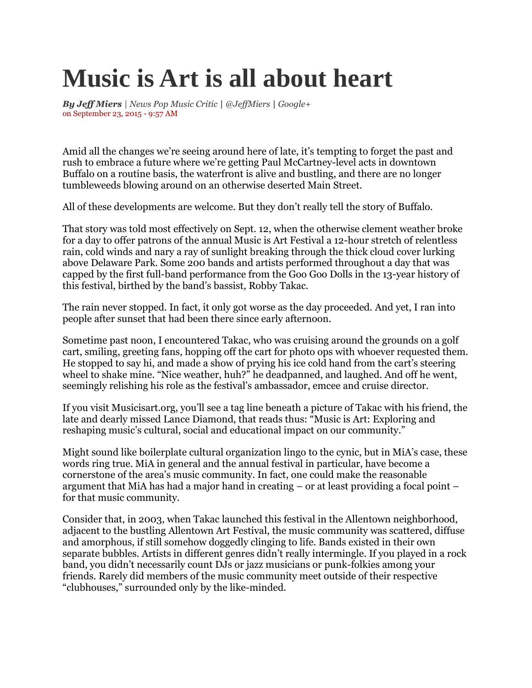## **Music is Art is all about heart**

*By [Jeff Miers](mailto:jmiers@buffnews.com) | News Pop Music Critic | [@JeffMiers](https://twitter.com/JeffMiers) | [Google+](https://plus.google.com/104542480980552267628?rel=author)* on September 23, 2015 - 9:57 AM

Amid all the changes we're seeing around here of late, it's tempting to forget the past and rush to embrace a future where we're getting Paul McCartney-level acts in downtown Buffalo on a routine basis, the waterfront is alive and bustling, and there are no longer tumbleweeds blowing around on an otherwise deserted Main Street.

All of these developments are welcome. But they don't really tell the story of Buffalo.

That story was told most effectively on Sept. 12, when the otherwise clement weather broke for a day to offer patrons of the annual Music is Art Festival a 12-hour stretch of relentless rain, cold winds and nary a ray of sunlight breaking through the thick cloud cover lurking above Delaware Park. Some 200 bands and artists performed throughout a day that was capped by the first full-band performance from the Goo Goo Dolls in the 13-year history of this festival, birthed by the band's bassist, Robby Takac.

The rain never stopped. In fact, it only got worse as the day proceeded. And yet, I ran into people after sunset that had been there since early afternoon.

Sometime past noon, I encountered Takac, who was cruising around the grounds on a golf cart, smiling, greeting fans, hopping off the cart for photo ops with whoever requested them. He stopped to say hi, and made a show of prying his ice cold hand from the cart's steering wheel to shake mine. "Nice weather, huh?" he deadpanned, and laughed. And off he went, seemingly relishing his role as the festival's ambassador, emcee and cruise director.

If you visit Musicisart.org, you'll see a tag line beneath a picture of Takac with his friend, the late and dearly missed Lance Diamond, that reads thus: "Music is Art: Exploring and reshaping music's cultural, social and educational impact on our community."

Might sound like boilerplate cultural organization lingo to the cynic, but in MiA's case, these words ring true. MiA in general and the annual festival in particular, have become a cornerstone of the area's music community. In fact, one could make the reasonable argument that MiA has had a major hand in creating – or at least providing a focal point – for that music community.

Consider that, in 2003, when Takac launched this festival in the Allentown neighborhood, adjacent to the bustling Allentown Art Festival, the music community was scattered, diffuse and amorphous, if still somehow doggedly clinging to life. Bands existed in their own separate bubbles. Artists in different genres didn't really intermingle. If you played in a rock band, you didn't necessarily count DJs or jazz musicians or punk-folkies among your friends. Rarely did members of the music community meet outside of their respective "clubhouses," surrounded only by the like-minded.